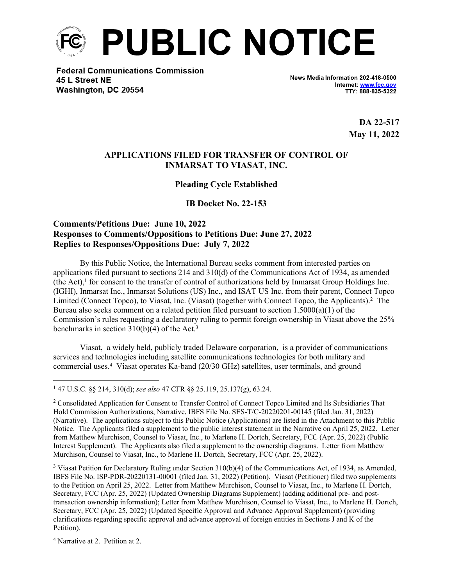

**Federal Communications Commission** 45 L Street NE Washington, DC 20554

News Media Information 202-418-0500 Internet: www.fcc.gov TTY: 888-835-5322

> **DA 22-517 May 11, 2022**

#### **APPLICATIONS FILED FOR TRANSFER OF CONTROL OF INMARSAT TO VIASAT, INC.**

#### **Pleading Cycle Established**

**IB Docket No. 22-153**

## **Comments/Petitions Due: June 10, 2022 Responses to Comments/Oppositions to Petitions Due: June 27, 2022 Replies to Responses/Oppositions Due: July 7, 2022**

By this Public Notice, the International Bureau seeks comment from interested parties on applications filed pursuant to sections 214 and 310(d) of the Communications Act of 1934, as amended (the Act), $<sup>1</sup>$  for consent to the transfer of control of authorizations held by Inmarsat Group Holdings Inc.</sup> (IGHI), Inmarsat Inc., Inmarsat Solutions (US) Inc., and ISAT US Inc. from their parent, Connect Topco Limited (Connect Topco), to Viasat, Inc. (Viasat) (together with Connect Topco, the Applicants).<sup>2</sup> The Bureau also seeks comment on a related petition filed pursuant to section  $1.5000(a)(1)$  of the Commission's rules requesting a declaratory ruling to permit foreign ownership in Viasat above the 25% benchmarks in section  $310(b)(4)$  of the Act.<sup>3</sup>

Viasat, a widely held, publicly traded Delaware corporation, is a provider of communications services and technologies including satellite communications technologies for both military and commercial uses.<sup>4</sup> Viasat operates Ka-band (20/30 GHz) satellites, user terminals, and ground

<sup>3</sup> Viasat Petition for Declaratory Ruling under Section  $310(b)(4)$  of the Communications Act, of 1934, as Amended, IBFS File No. ISP-PDR-20220131-00001 (filed Jan. 31, 2022) (Petition). Viasat (Petitioner) filed two supplements to the Petition on April 25, 2022. Letter from Matthew Murchison, Counsel to Viasat, Inc., to Marlene H. Dortch, Secretary, FCC (Apr. 25, 2022) (Updated Ownership Diagrams Supplement) (adding additional pre- and posttransaction ownership information); Letter from Matthew Murchison, Counsel to Viasat, Inc., to Marlene H. Dortch, Secretary, FCC (Apr. 25, 2022) (Updated Specific Approval and Advance Approval Supplement) (providing clarifications regarding specific approval and advance approval of foreign entities in Sections J and K of the Petition).

4 Narrative at 2. Petition at 2.

<sup>1</sup> 47 U.S.C. §§ 214, 310(d); *see also* 47 CFR §§ 25.119, 25.137(g), 63.24.

<sup>&</sup>lt;sup>2</sup> Consolidated Application for Consent to Transfer Control of Connect Topco Limited and Its Subsidiaries That Hold Commission Authorizations, Narrative, IBFS File No. SES-T/C-20220201-00145 (filed Jan. 31, 2022) (Narrative). The applications subject to this Public Notice (Applications) are listed in the Attachment to this Public Notice. The Applicants filed a supplement to the public interest statement in the Narrative on April 25, 2022. Letter from Matthew Murchison, Counsel to Viasat, Inc., to Marlene H. Dortch, Secretary, FCC (Apr. 25, 2022) (Public Interest Supplement). The Applicants also filed a supplement to the ownership diagrams. Letter from Matthew Murchison, Counsel to Viasat, Inc., to Marlene H. Dortch, Secretary, FCC (Apr. 25, 2022).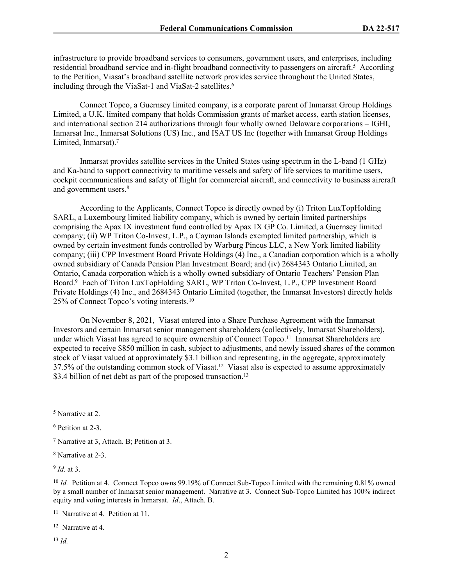infrastructure to provide broadband services to consumers, government users, and enterprises, including residential broadband service and in-flight broadband connectivity to passengers on aircraft.<sup>5</sup> According to the Petition, Viasat's broadband satellite network provides service throughout the United States, including through the ViaSat-1 and ViaSat-2 satellites.<sup>6</sup>

Connect Topco, a Guernsey limited company, is a corporate parent of Inmarsat Group Holdings Limited, a U.K. limited company that holds Commission grants of market access, earth station licenses, and international section 214 authorizations through four wholly owned Delaware corporations – IGHI, Inmarsat Inc., Inmarsat Solutions (US) Inc., and ISAT US Inc (together with Inmarsat Group Holdings Limited, Inmarsat).<sup>7</sup>

Inmarsat provides satellite services in the United States using spectrum in the L-band (1 GHz) and Ka-band to support connectivity to maritime vessels and safety of life services to maritime users, cockpit communications and safety of flight for commercial aircraft, and connectivity to business aircraft and government users.<sup>8</sup>

According to the Applicants, Connect Topco is directly owned by (i) Triton LuxTopHolding SARL, a Luxembourg limited liability company, which is owned by certain limited partnerships comprising the Apax IX investment fund controlled by Apax IX GP Co. Limited, a Guernsey limited company; (ii) WP Triton Co-Invest, L.P., a Cayman Islands exempted limited partnership, which is owned by certain investment funds controlled by Warburg Pincus LLC, a New York limited liability company; (iii) CPP Investment Board Private Holdings (4) Inc., a Canadian corporation which is a wholly owned subsidiary of Canada Pension Plan Investment Board; and (iv) 2684343 Ontario Limited, an Ontario, Canada corporation which is a wholly owned subsidiary of Ontario Teachers' Pension Plan Board.<sup>9</sup> Each of Triton LuxTopHolding SARL, WP Triton Co-Invest, L.P., CPP Investment Board Private Holdings (4) Inc., and 2684343 Ontario Limited (together, the Inmarsat Investors) directly holds 25% of Connect Topco's voting interests.<sup>10</sup>

On November 8, 2021, Viasat entered into a Share Purchase Agreement with the Inmarsat Investors and certain Inmarsat senior management shareholders (collectively, Inmarsat Shareholders), under which Viasat has agreed to acquire ownership of Connect Topco.<sup>11</sup> Inmarsat Shareholders are expected to receive \$850 million in cash, subject to adjustments, and newly issued shares of the common stock of Viasat valued at approximately \$3.1 billion and representing, in the aggregate, approximately 37.5% of the outstanding common stock of Viasat.<sup>12</sup> Viasat also is expected to assume approximately \$3.4 billion of net debt as part of the proposed transaction.<sup>13</sup>

9 *Id.* at 3.

<sup>13</sup> *Id.*

<sup>5</sup> Narrative at 2.

<sup>6</sup> Petition at 2-3.

<sup>7</sup> Narrative at 3, Attach. B; Petition at 3.

<sup>8</sup> Narrative at 2-3.

<sup>&</sup>lt;sup>10</sup> *Id.* Petition at 4. Connect Topco owns 99.19% of Connect Sub-Topco Limited with the remaining 0.81% owned by a small number of Inmarsat senior management. Narrative at 3. Connect Sub-Topco Limited has 100% indirect equity and voting interests in Inmarsat. *Id*., Attach. B.

<sup>11</sup> Narrative at 4. Petition at 11.

<sup>12</sup> Narrative at 4.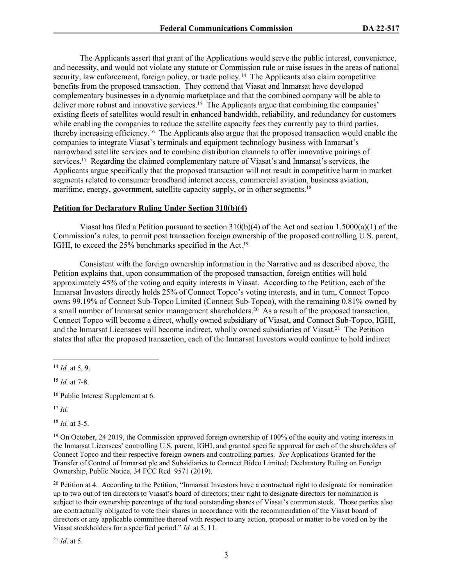The Applicants assert that grant of the Applications would serve the public interest, convenience, and necessity, and would not violate any statute or Commission rule or raise issues in the areas of national security, law enforcement, foreign policy, or trade policy.<sup>14</sup> The Applicants also claim competitive benefits from the proposed transaction. They contend that Viasat and Inmarsat have developed complementary businesses in a dynamic marketplace and that the combined company will be able to deliver more robust and innovative services.<sup>15</sup> The Applicants argue that combining the companies' existing fleets of satellites would result in enhanced bandwidth, reliability, and redundancy for customers while enabling the companies to reduce the satellite capacity fees they currently pay to third parties, thereby increasing efficiency.<sup>16</sup> The Applicants also argue that the proposed transaction would enable the companies to integrate Viasat's terminals and equipment technology business with Inmarsat's narrowband satellite services and to combine distribution channels to offer innovative pairings of services.<sup>17</sup> Regarding the claimed complementary nature of Viasat's and Inmarsat's services, the Applicants argue specifically that the proposed transaction will not result in competitive harm in market segments related to consumer broadband internet access, commercial aviation, business aviation, maritime, energy, government, satellite capacity supply, or in other segments.<sup>18</sup>

#### **Petition for Declaratory Ruling Under Section 310(b)(4)**

Viasat has filed a Petition pursuant to section 310(b)(4) of the Act and section 1.5000(a)(1) of the Commission's rules, to permit post transaction foreign ownership of the proposed controlling U.S. parent, IGHI, to exceed the 25% benchmarks specified in the Act.<sup>19</sup>

Consistent with the foreign ownership information in the Narrative and as described above, the Petition explains that, upon consummation of the proposed transaction, foreign entities will hold approximately 45% of the voting and equity interests in Viasat. According to the Petition, each of the Inmarsat Investors directly holds 25% of Connect Topco's voting interests, and in turn, Connect Topco owns 99.19% of Connect Sub-Topco Limited (Connect Sub-Topco), with the remaining 0.81% owned by a small number of Inmarsat senior management shareholders.<sup>20</sup> As a result of the proposed transaction, Connect Topco will become a direct, wholly owned subsidiary of Viasat, and Connect Sub-Topco, IGHI, and the Inmarsat Licensees will become indirect, wholly owned subsidiaries of Viasat.<sup>21</sup> The Petition states that after the proposed transaction, each of the Inmarsat Investors would continue to hold indirect

<sup>15</sup> *Id.* at 7-8.

<sup>17</sup> *Id.*

<sup>18</sup> *Id.* at 3-5.

<sup>20</sup> Petition at 4. According to the Petition, "Inmarsat Investors have a contractual right to designate for nomination up to two out of ten directors to Viasat's board of directors; their right to designate directors for nomination is subject to their ownership percentage of the total outstanding shares of Viasat's common stock. Those parties also are contractually obligated to vote their shares in accordance with the recommendation of the Viasat board of directors or any applicable committee thereof with respect to any action, proposal or matter to be voted on by the Viasat stockholders for a specified period." *Id.* at 5, 11.

<sup>21</sup> *Id*. at 5.

<sup>14</sup> *Id.* at 5, 9.

<sup>16</sup> Public Interest Supplement at 6.

<sup>&</sup>lt;sup>19</sup> On October, 24 2019, the Commission approved foreign ownership of 100% of the equity and voting interests in the Inmarsat Licensees' controlling U.S. parent, IGHI, and granted specific approval for each of the shareholders of Connect Topco and their respective foreign owners and controlling parties. *See* Applications Granted for the Transfer of Control of Inmarsat plc and Subsidiaries to Connect Bidco Limited; Declaratory Ruling on Foreign Ownership, Public Notice, 34 FCC Rcd 9571 (2019).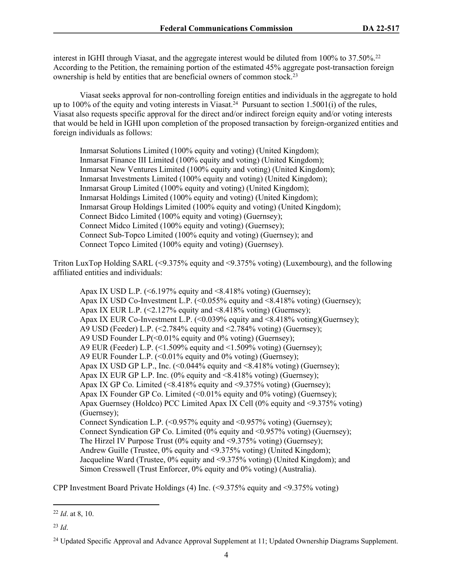interest in IGHI through Viasat, and the aggregate interest would be diluted from 100% to 37.50%.<sup>22</sup> According to the Petition, the remaining portion of the estimated 45% aggregate post-transaction foreign ownership is held by entities that are beneficial owners of common stock.<sup>23</sup>

Viasat seeks approval for non-controlling foreign entities and individuals in the aggregate to hold up to 100% of the equity and voting interests in Viasat.<sup>24</sup> Pursuant to section 1.5001(i) of the rules, Viasat also requests specific approval for the direct and/or indirect foreign equity and/or voting interests that would be held in IGHI upon completion of the proposed transaction by foreign-organized entities and foreign individuals as follows:

Inmarsat Solutions Limited (100% equity and voting) (United Kingdom); Inmarsat Finance III Limited (100% equity and voting) (United Kingdom); Inmarsat New Ventures Limited (100% equity and voting) (United Kingdom); Inmarsat Investments Limited (100% equity and voting) (United Kingdom); Inmarsat Group Limited (100% equity and voting) (United Kingdom); Inmarsat Holdings Limited (100% equity and voting) (United Kingdom); Inmarsat Group Holdings Limited (100% equity and voting) (United Kingdom); Connect Bidco Limited (100% equity and voting) (Guernsey); Connect Midco Limited (100% equity and voting) (Guernsey); Connect Sub-Topco Limited (100% equity and voting) (Guernsey); and Connect Topco Limited (100% equity and voting) (Guernsey).

Triton LuxTop Holding SARL (<9.375% equity and <9.375% voting) (Luxembourg), and the following affiliated entities and individuals:

Apax IX USD L.P. ( $\leq 6.197\%$  equity and  $\leq 8.418\%$  voting) (Guernsey); Apax IX USD Co-Investment L.P. (<0.055% equity and <8.418% voting) (Guernsey); Apax IX EUR L.P.  $(\le 2.127\%$  equity and  $\le 8.418\%$  voting) (Guernsey); Apax IX EUR Co-Investment L.P.  $\leq 0.039\%$  equity and  $\leq 8.418\%$  voting)(Guernsey); A9 USD (Feeder) L.P. (<2.784% equity and <2.784% voting) (Guernsey); A9 USD Founder L.P $(< 0.01\%$  equity and 0% voting) (Guernsey); A9 EUR (Feeder) L.P.  $(\leq 1.509\% \text{ equity and } \leq 1.509\% \text{ voting})$  (Guernsey); A9 EUR Founder L.P. (<0.01% equity and 0% voting) (Guernsey); Apax IX USD GP L.P., Inc.  $\left($  <0.044% equity and <8.418% voting) (Guernsey); Apax IX EUR GP L.P. Inc. (0% equity and <8.418% voting) (Guernsey); Apax IX GP Co. Limited  $\langle \leq 8.418\%$  equity and  $\leq 9.375\%$  voting) (Guernsey); Apax IX Founder GP Co. Limited (<0.01% equity and 0% voting) (Guernsey); Apax Guernsey (Holdco) PCC Limited Apax IX Cell (0% equity and <9.375% voting) (Guernsey); Connect Syndication L.P.  $(<0.957\%$  equity and  $<0.957\%$  voting) (Guernsey); Connect Syndication GP Co. Limited (0% equity and <0.957% voting) (Guernsey); The Hirzel IV Purpose Trust  $(0\%$  equity and  $\leq 9.375\%$  voting) (Guernsey); Andrew Guille (Trustee, 0% equity and <9.375% voting) (United Kingdom); Jacqueline Ward (Trustee, 0% equity and <9.375% voting) (United Kingdom); and Simon Cresswell (Trust Enforcer, 0% equity and 0% voting) (Australia).

CPP Investment Board Private Holdings (4) Inc. (<9.375% equity and <9.375% voting)

<sup>22</sup> *Id*. at 8, 10.

<sup>23</sup> *Id*.

<sup>&</sup>lt;sup>24</sup> Updated Specific Approval and Advance Approval Supplement at 11; Updated Ownership Diagrams Supplement.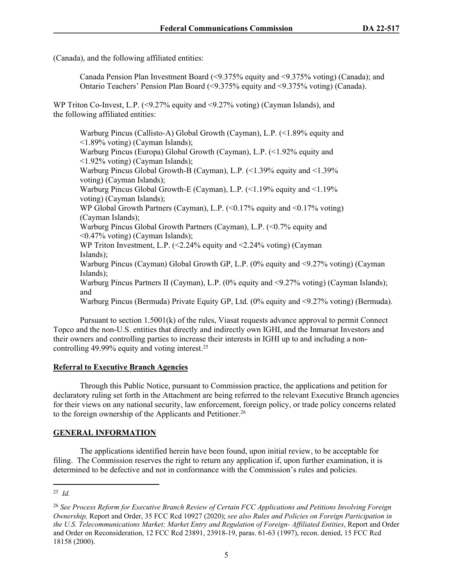(Canada), and the following affiliated entities:

Canada Pension Plan Investment Board (<9.375% equity and <9.375% voting) (Canada); and Ontario Teachers' Pension Plan Board (<9.375% equity and <9.375% voting) (Canada).

WP Triton Co-Invest, L.P. (<9.27% equity and <9.27% voting) (Cayman Islands), and the following affiliated entities:

Warburg Pincus (Callisto-A) Global Growth (Cayman), L.P. (<1.89% equity and <1.89% voting) (Cayman Islands); Warburg Pincus (Europa) Global Growth (Cayman), L.P. (<1.92% equity and <1.92% voting) (Cayman Islands); Warburg Pincus Global Growth-B (Cayman), L.P. (<1.39% equity and <1.39% voting) (Cayman Islands); Warburg Pincus Global Growth-E (Cayman), L.P.  $\ll 1.19\%$  equity and  $\ll 1.19\%$ voting) (Cayman Islands); WP Global Growth Partners (Cayman), L.P. (<0.17% equity and <0.17% voting) (Cayman Islands); Warburg Pincus Global Growth Partners (Cayman), L.P. (<0.7% equity and <0.47% voting) (Cayman Islands); WP Triton Investment, L.P. (<2.24% equity and <2.24% voting) (Cayman Islands); Warburg Pincus (Cayman) Global Growth GP, L.P. (0% equity and <9.27% voting) (Cayman Islands); Warburg Pincus Partners II (Cayman), L.P. (0% equity and <9.27% voting) (Cayman Islands); and Warburg Pincus (Bermuda) Private Equity GP, Ltd. (0% equity and <9.27% voting) (Bermuda).

Pursuant to section 1.5001(k) of the rules, Viasat requests advance approval to permit Connect Topco and the non-U.S. entities that directly and indirectly own IGHI, and the Inmarsat Investors and their owners and controlling parties to increase their interests in IGHI up to and including a noncontrolling 49.99% equity and voting interest.<sup>25</sup>

#### **Referral to Executive Branch Agencies**

Through this Public Notice, pursuant to Commission practice, the applications and petition for declaratory ruling set forth in the Attachment are being referred to the relevant Executive Branch agencies for their views on any national security, law enforcement, foreign policy, or trade policy concerns related to the foreign ownership of the Applicants and Petitioner.<sup>26</sup>

## **GENERAL INFORMATION**

The applications identified herein have been found, upon initial review, to be acceptable for filing. The Commission reserves the right to return any application if, upon further examination, it is determined to be defective and not in conformance with the Commission's rules and policies.

<sup>25</sup> *Id.*

<sup>26</sup> *See Process Reform for Executive Branch Review of Certain FCC Applications and Petitions Involving Foreign Ownership,* Report and Order, 35 FCC Rcd 10927 (2020); *see also Rules and Policies on Foreign Participation in the U.S. Telecommunications Market; Market Entry and Regulation of Foreign- Affiliated Entities*, Report and Order and Order on Reconsideration, 12 FCC Rcd 23891, 23918-19, paras. 61-63 (1997), recon. denied, 15 FCC Rcd 18158 (2000).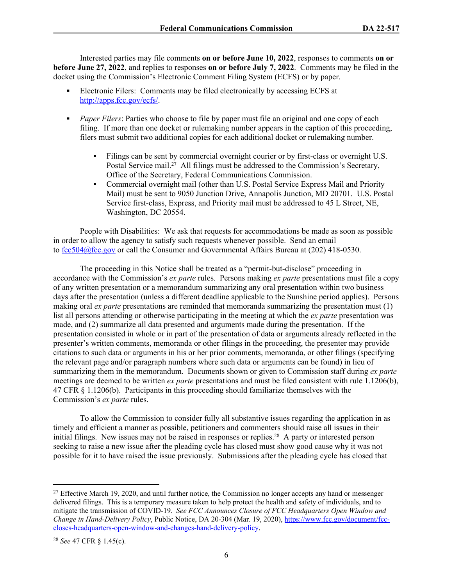Interested parties may file comments **on or before June 10, 2022**, responses to comments **on or before June 27, 2022**, and replies to responses **on or before July 7, 2022**. Comments may be filed in the docket using the Commission's Electronic Comment Filing System (ECFS) or by paper.

- Electronic Filers: Comments may be filed electronically by accessing ECFS at [http://apps.fcc.gov/ecfs/.](http://apps.fcc.gov/ecfs/)
- **Paper Filers:** Parties who choose to file by paper must file an original and one copy of each filing. If more than one docket or rulemaking number appears in the caption of this proceeding, filers must submit two additional copies for each additional docket or rulemaking number.
	- Filings can be sent by commercial overnight courier or by first-class or overnight U.S. Postal Service mail.<sup>27</sup> All filings must be addressed to the Commission's Secretary, Office of the Secretary, Federal Communications Commission.
	- Commercial overnight mail (other than U.S. Postal Service Express Mail and Priority Mail) must be sent to 9050 Junction Drive, Annapolis Junction, MD 20701. U.S. Postal Service first-class, Express, and Priority mail must be addressed to 45 L Street, NE, Washington, DC 20554.

People with Disabilities: We ask that requests for accommodations be made as soon as possible in order to allow the agency to satisfy such requests whenever possible. Send an email to [fcc504@fcc.gov](mailto:fcc504@fcc.gov) or call the Consumer and Governmental Affairs Bureau at (202) 418-0530.

The proceeding in this Notice shall be treated as a "permit-but-disclose" proceeding in accordance with the Commission's *ex parte* rules. Persons making *ex parte* presentations must file a copy of any written presentation or a memorandum summarizing any oral presentation within two business days after the presentation (unless a different deadline applicable to the Sunshine period applies). Persons making oral *ex parte* presentations are reminded that memoranda summarizing the presentation must (1) list all persons attending or otherwise participating in the meeting at which the *ex parte* presentation was made, and (2) summarize all data presented and arguments made during the presentation. If the presentation consisted in whole or in part of the presentation of data or arguments already reflected in the presenter's written comments, memoranda or other filings in the proceeding, the presenter may provide citations to such data or arguments in his or her prior comments, memoranda, or other filings (specifying the relevant page and/or paragraph numbers where such data or arguments can be found) in lieu of summarizing them in the memorandum. Documents shown or given to Commission staff during *ex parte* meetings are deemed to be written *ex parte* presentations and must be filed consistent with rule 1.1206(b), 47 CFR § 1.1206(b). Participants in this proceeding should familiarize themselves with the Commission's *ex parte* rules.

To allow the Commission to consider fully all substantive issues regarding the application in as timely and efficient a manner as possible, petitioners and commenters should raise all issues in their initial filings. New issues may not be raised in responses or replies.<sup>28</sup> A party or interested person seeking to raise a new issue after the pleading cycle has closed must show good cause why it was not possible for it to have raised the issue previously. Submissions after the pleading cycle has closed that

<sup>&</sup>lt;sup>27</sup> Effective March 19, 2020, and until further notice, the Commission no longer accepts any hand or messenger delivered filings. This is a temporary measure taken to help protect the health and safety of individuals, and to mitigate the transmission of COVID-19. *See FCC Announces Closure of FCC Headquarters Open Window and Change in Hand-Delivery Policy*, Public Notice, DA 20-304 (Mar. 19, 2020), [https://www.fcc.gov/document/fcc](https://www.fcc.gov/document/fcc-closes-headquarters-open-window-and-changes-hand-delivery-policy)[closes-headquarters-open-window-and-changes-hand-delivery-policy.](https://www.fcc.gov/document/fcc-closes-headquarters-open-window-and-changes-hand-delivery-policy)

<sup>28</sup> *See* 47 CFR § 1.45(c).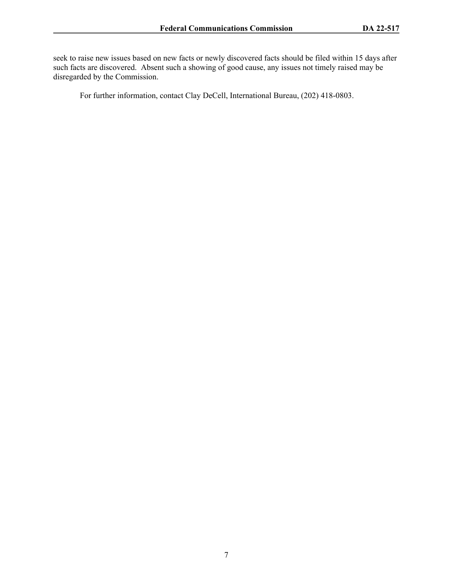seek to raise new issues based on new facts or newly discovered facts should be filed within 15 days after such facts are discovered. Absent such a showing of good cause, any issues not timely raised may be disregarded by the Commission.

For further information, contact Clay DeCell, International Bureau, (202) 418-0803.